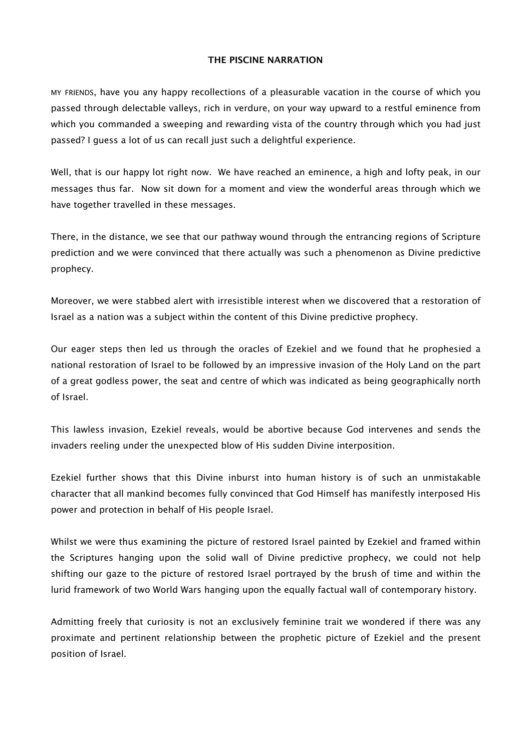#### **THE PISCINE NARRATION**

MY FRIENDS, have you any happy recollections of a pleasurable vacation in the course of which you passed through delectable valleys, rich in verdure, on your way upward to a restful eminence from which you commanded a sweeping and rewarding vista of the country through which you had just passed? I guess a lot of us can recall just such a delightful experience.

Well, that is our happy lot right now. We have reached an eminence, a high and lofty peak, in our messages thus far. Now sit down for a moment and view the wonderful areas through which we have together travelled in these messages.

There, in the distance, we see that our pathway wound through the entrancing regions of Scripture prediction and we were convinced that there actually was such a phenomenon as Divine predictive prophecy.

Moreover, we were stabbed alert with irresistible interest when we discovered that a restoration of Israel as a nation was a subject within the content of this Divine predictive prophecy.

Our eager steps then led us through the oracles of Ezekiel and we found that he prophesied a national restoration of Israel to be followed by an impressive invasion of the Holy Land on the part of a great godless power, the seat and centre of which was indicated as being geographically north of Israel.

This lawless invasion, Ezekiel reveals, would be abortive because God intervenes and sends the invaders reeling under the unexpected blow of His sudden Divine interposition.

Ezekiel further shows that this Divine inburst into human history is of such an unmistakable character that all mankind becomes fully convinced that God Himself has manifestly interposed His power and protection in behalf of His people Israel.

Whilst we were thus examining the picture of restored Israel painted by Ezekiel and framed within the Scriptures hanging upon the solid wall of Divine predictive prophecy, we could not help shifting our gaze to the picture of restored Israel portrayed by the brush of time and within the lurid framework of two World Wars hanging upon the equally factual wall of contemporary history.

Admitting freely that curiosity is not an exclusively feminine trait we wondered if there was any proximate and pertinent relationship between the prophetic picture of Ezekiel and the present position of Israel.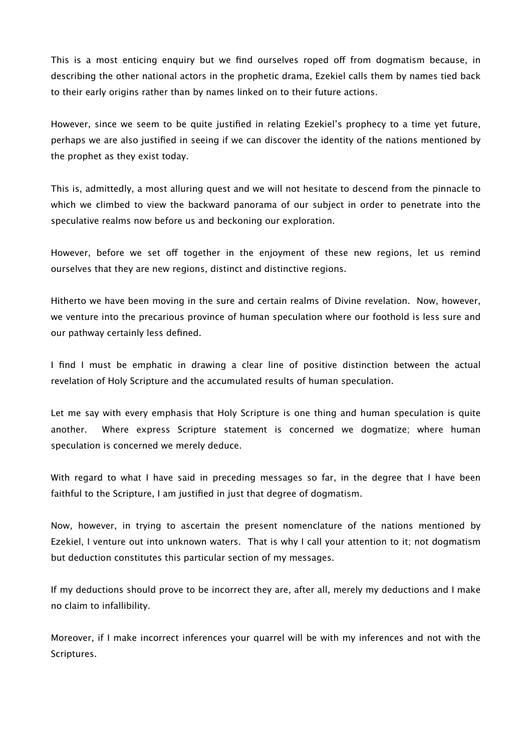This is a most enticing enquiry but we find ourselves roped off from dogmatism because, in describing the other national actors in the prophetic drama, Ezekiel calls them by names tied back to their early origins rather than by names linked on to their future actions.

However, since we seem to be quite justified in relating Ezekiel's prophecy to a time yet future, perhaps we are also justified in seeing if we can discover the identity of the nations mentioned by the prophet as they exist today.

This is, admittedly, a most alluring quest and we will not hesitate to descend from the pinnacle to which we climbed to view the backward panorama of our subject in order to penetrate into the speculative realms now before us and beckoning our exploration.

However, before we set off together in the enjoyment of these new regions, let us remind ourselves that they are new regions, distinct and distinctive regions.

Hitherto we have been moving in the sure and certain realms of Divine revelation. Now, however, we venture into the precarious province of human speculation where our foothold is less sure and our pathway certainly less defined.

I find I must be emphatic in drawing a clear line of positive distinction between the actual revelation of Holy Scripture and the accumulated results of human speculation.

Let me say with every emphasis that Holy Scripture is one thing and human speculation is quite another. Where express Scripture statement is concerned we dogmatize; where human speculation is concerned we merely deduce.

With regard to what I have said in preceding messages so far, in the degree that I have been faithful to the Scripture, I am justified in just that degree of dogmatism.

Now, however, in trying to ascertain the present nomenclature of the nations mentioned by Ezekiel, I venture out into unknown waters. That is why I call your attention to it; not dogmatism but deduction constitutes this particular section of my messages.

If my deductions should prove to be incorrect they are, after all, merely my deductions and I make no claim to infallibility.

Moreover, if I make incorrect inferences your quarrel will be with my inferences and not with the Scriptures.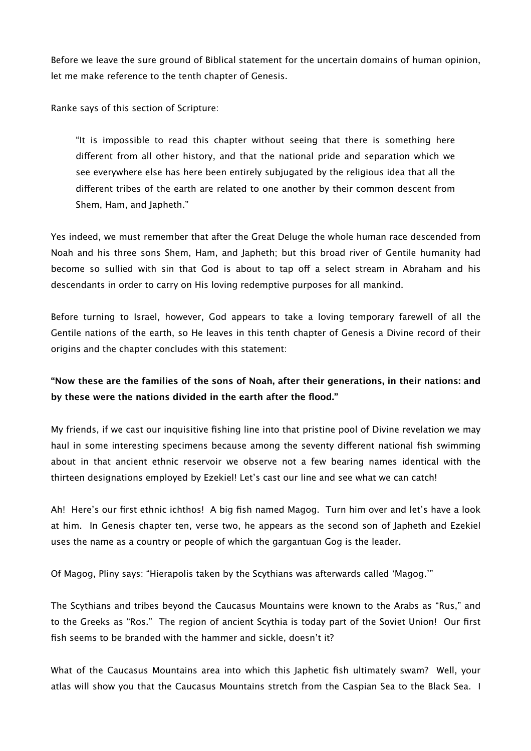Before we leave the sure ground of Biblical statement for the uncertain domains of human opinion, let me make reference to the tenth chapter of Genesis.

Ranke says of this section of Scripture:

"It is impossible to read this chapter without seeing that there is something here diferent from all other history, and that the national pride and separation which we see everywhere else has here been entirely subjugated by the religious idea that all the diferent tribes of the earth are related to one another by their common descent from Shem, Ham, and Japheth."

Yes indeed, we must remember that after the Great Deluge the whole human race descended from Noah and his three sons Shem, Ham, and Japheth; but this broad river of Gentile humanity had become so sullied with sin that God is about to tap off a select stream in Abraham and his descendants in order to carry on His loving redemptive purposes for all mankind.

Before turning to Israel, however, God appears to take a loving temporary farewell of all the Gentile nations of the earth, so He leaves in this tenth chapter of Genesis a Divine record of their origins and the chapter concludes with this statement:

# **"Now these are the families of the sons of Noah, after their generations, in their nations: and by these were the nations divided in the earth after the flood."**

My friends, if we cast our inquisitive fishing line into that pristine pool of Divine revelation we may haul in some interesting specimens because among the seventy diferent national fish swimming about in that ancient ethnic reservoir we observe not a few bearing names identical with the thirteen designations employed by Ezekiel! Let's cast our line and see what we can catch!

Ah! Here's our first ethnic ichthos! A big fish named Magog. Turn him over and let's have a look at him. In Genesis chapter ten, verse two, he appears as the second son of Japheth and Ezekiel uses the name as a country or people of which the gargantuan Gog is the leader.

Of Magog, Pliny says: "Hierapolis taken by the Scythians was afterwards called 'Magog.'"

The Scythians and tribes beyond the Caucasus Mountains were known to the Arabs as "Rus," and to the Greeks as "Ros." The region of ancient Scythia is today part of the Soviet Union! Our first fish seems to be branded with the hammer and sickle, doesn't it?

What of the Caucasus Mountains area into which this Japhetic fish ultimately swam? Well, your atlas will show you that the Caucasus Mountains stretch from the Caspian Sea to the Black Sea. I